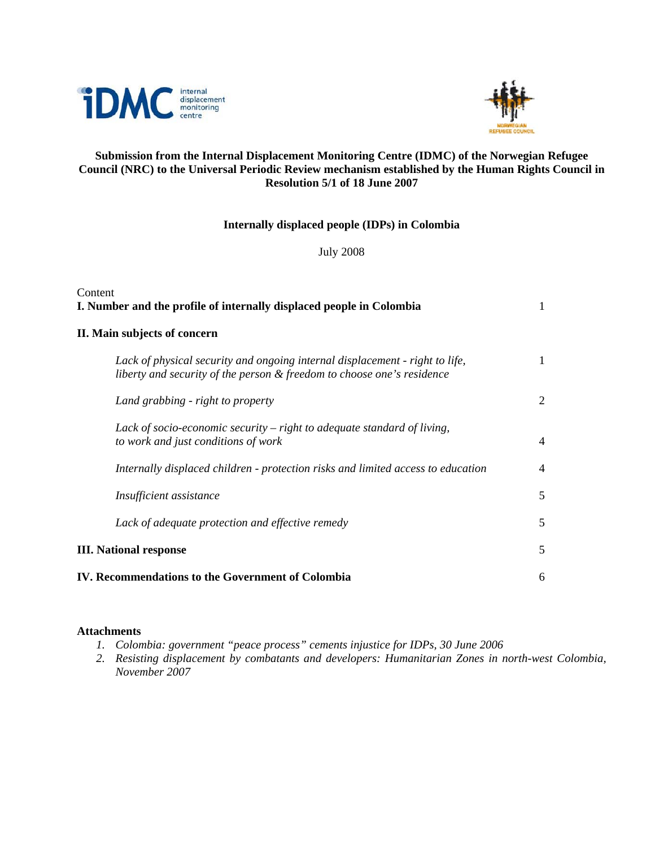



# **Submission from the Internal Displacement Monitoring Centre (IDMC) of the Norwegian Refugee Council (NRC) to the Universal Periodic Review mechanism established by the Human Rights Council in Resolution 5/1 of 18 June 2007**

# **Internally displaced people (IDPs) in Colombia**

July 2008

| Content<br>I. Number and the profile of internally displaced people in Colombia                                                                        | 1              |
|--------------------------------------------------------------------------------------------------------------------------------------------------------|----------------|
| II. Main subjects of concern                                                                                                                           |                |
| Lack of physical security and ongoing internal displacement - right to life,<br>liberty and security of the person & freedom to choose one's residence | 1              |
| Land grabbing - right to property                                                                                                                      | 2              |
| Lack of socio-economic security $-$ right to adequate standard of living,<br>to work and just conditions of work                                       | $\overline{4}$ |
| Internally displaced children - protection risks and limited access to education                                                                       | $\overline{4}$ |
| Insufficient assistance                                                                                                                                | 5              |
| Lack of adequate protection and effective remedy                                                                                                       | 5              |
| <b>III.</b> National response                                                                                                                          | 5              |
| IV. Recommendations to the Government of Colombia                                                                                                      | 6              |

## **Attachments**

- *1. Colombia: government "peace process" cements injustice for IDPs, 30 June 2006*
- *2. Resisting displacement by combatants and developers: Humanitarian Zones in north-west Colombia, November 2007*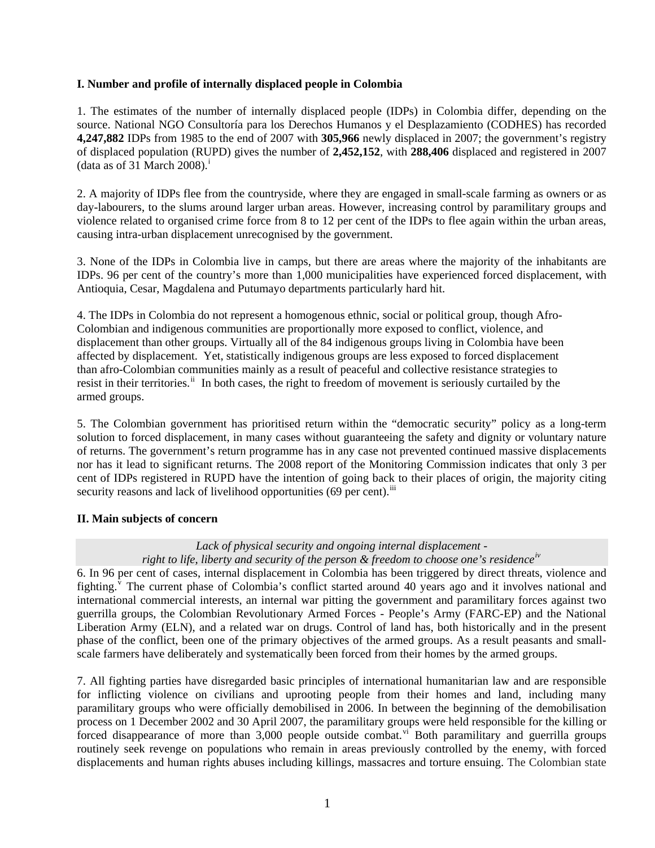### **I. Number and profile of internally displaced people in Colombia**

1. The estimates of the number of internally displaced people (IDPs) in Colombia differ, depending on the source. National NGO Consultoría para los Derechos Humanos y el Desplazamiento (CODHES) has recorded **4,247,882** IDPs from 1985 to the end of 2007 with **305,966** newly displaced in 2007; the government's registry of displaced population (RUPD) gives the number of **2,452,152**, with **288,406** displaced and registered in 2007 (data as of 31 March 2008).<sup>[i](#page-6-0)</sup>

2. A majority of IDPs flee from the countryside, where they are engaged in small-scale farming as owners or as day-labourers, to the slums around larger urban areas. However, increasing control by paramilitary groups and violence related to organised crime force from 8 to 12 per cent of the IDPs to flee again within the urban areas, causing intra-urban displacement unrecognised by the government.

3. None of the IDPs in Colombia live in camps, but there are areas where the majority of the inhabitants are IDPs. 96 per cent of the country's more than 1,000 municipalities have experienced forced displacement, with Antioquia, Cesar, Magdalena and Putumayo departments particularly hard hit.

4. The IDPs in Colombia do not represent a homogenous ethnic, social or political group, though Afro-Colombian and indigenous communities are proportionally more exposed to conflict, violence, and displacement than other groups. Virtually all of the 84 indigenous groups living in Colombia have been affected by displacement. Yet, statistically indigenous groups are less exposed to forced displacement than afro-Colombian communities mainly as a result of peaceful and collective resistance strategies to resist in their territories.<sup>[ii](#page-6-1)</sup> In both cases, the right to freedom of movement is seriously curtailed by the armed groups.

5. The Colombian government has prioritised return within the "democratic security" policy as a long-term solution to forced displacement, in many cases without guaranteeing the safety and dignity or voluntary nature of returns. The government's return programme has in any case not prevented continued massive displacements nor has it lead to significant returns. The 2008 report of the Monitoring Commission indicates that only 3 per cent of IDPs registered in RUPD have the intention of going back to their places of origin, the majority citing security reasons and lack of livelihood opportunities (69 per cent).<sup>[iii](#page-6-1)</sup>

## **II. Main subjects of concern**

### *Lack of physical security and ongoing internal displacement right to life, liberty and security of the person & freedom to choose one's residence[iv](#page-6-1)*

6. In 96 per cent of cases, internal displacement in Colombia has been triggered by direct threats, violence and fighting. <sup>[v](#page-6-1)</sup> The current phase of Colombia's conflict started around 40 years ago and it involves national and international commercial interests, an internal war pitting the government and paramilitary forces against two guerrilla groups, the Colombian Revolutionary Armed Forces - People's Army (FARC-EP) and the National Liberation Army (ELN), and a related war on drugs. Control of land has, both historically and in the present phase of the conflict, been one of the primary objectives of the armed groups. As a result peasants and smallscale farmers have deliberately and systematically been forced from their homes by the armed groups.

7. All fighting parties have disregarded basic principles of international humanitarian law and are responsible for inflicting violence on civilians and uprooting people from their homes and land, including many paramilitary groups who were officially demobilised in 2006. In between the beginning of the demobilisation process on 1 December 2002 and 30 April 2007, the paramilitary groups were held responsible for the killing or forced disappearance of more than  $3,000$  people outside combat.<sup>[vi](#page-6-1)</sup> Both paramilitary and guerrilla groups routinely seek revenge on populations who remain in areas previously controlled by the enemy, with forced displacements and human rights abuses including killings, massacres and torture ensuing. The Colombian state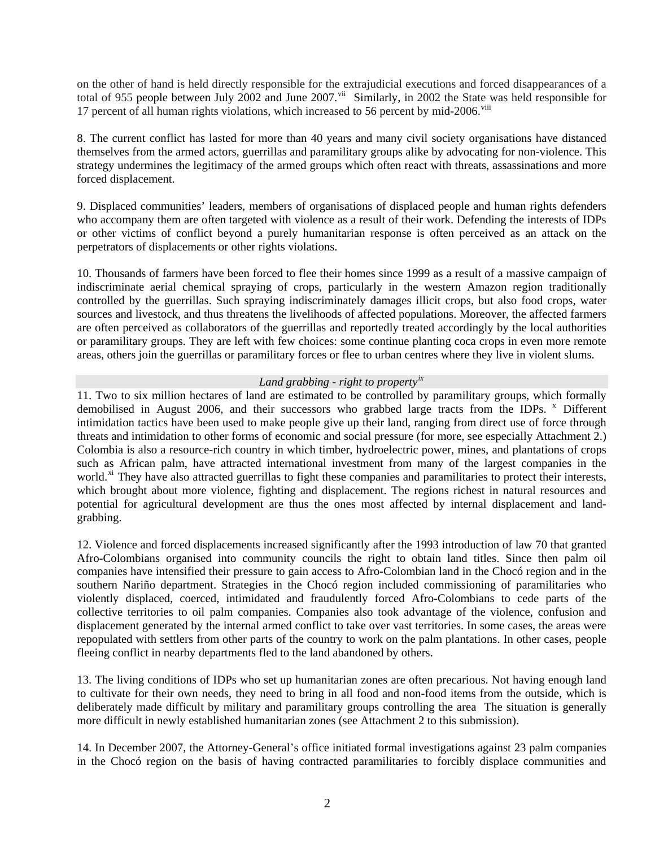on the other of hand is held directly responsible for the extrajudicial executions and forced disappearances of a total of 955 people between July 2002 and June 2007.<sup>[vii](#page-6-1)</sup> Similarly, in 2002 the State was held responsible for 17 percent of all human rights violations, which increased to 56 percent by mid-2006.<sup> $viii$ </sup>

8. The current conflict has lasted for more than 40 years and many civil society organisations have distanced themselves from the armed actors, guerrillas and paramilitary groups alike by advocating for non-violence. This strategy undermines the legitimacy of the armed groups which often react with threats, assassinations and more forced displacement.

9. Displaced communities' leaders, members of organisations of displaced people and human rights defenders who accompany them are often targeted with violence as a result of their work. Defending the interests of IDPs or other victims of conflict beyond a purely humanitarian response is often perceived as an attack on the perpetrators of displacements or other rights violations.

10. Thousands of farmers have been forced to flee their homes since 1999 as a result of a massive campaign of indiscriminate aerial chemical spraying of crops, particularly in the western Amazon region traditionally controlled by the guerrillas. Such spraying indiscriminately damages illicit crops, but also food crops, water sources and livestock, and thus threatens the livelihoods of affected populations. Moreover, the affected farmers are often perceived as collaborators of the guerrillas and reportedly treated accordingly by the local authorities or paramilitary groups. They are left with few choices: some continue planting coca crops in even more remote areas, others join the guerrillas or paramilitary forces or flee to urban centres where they live in violent slums.

### *Land grabbing - right to property[ix](#page-6-1)*

11. Two to six million hectares of land are estimated to be controlled by paramilitary groups, which formally demobilised in August 2006, and their successors who grabbed large tracts from the IDPs. <sup>[x](#page-6-1)</sup> Different intimidation tactics have been used to make people give up their land, ranging from direct use of force through threats and intimidation to other forms of economic and social pressure (for more, see especially Attachment 2.) Colombia is also a resource-rich country in which timber, hydroelectric power, mines, and plantations of crops such as African palm, have attracted international investment from many of the largest companies in the world.<sup>[xi](#page-6-1)</sup> They have also attracted guerrillas to fight these companies and paramilitaries to protect their interests, which brought about more violence, fighting and displacement. The regions richest in natural resources and potential for agricultural development are thus the ones most affected by internal displacement and landgrabbing.

12. Violence and forced displacements increased significantly after the 1993 introduction of law 70 that granted Afro-Colombians organised into community councils the right to obtain land titles. Since then palm oil companies have intensified their pressure to gain access to Afro-Colombian land in the Chocó region and in the southern Nariño department. Strategies in the Chocó region included commissioning of paramilitaries who violently displaced, coerced, intimidated and fraudulently forced Afro-Colombians to cede parts of the collective territories to oil palm companies. Companies also took advantage of the violence, confusion and displacement generated by the internal armed conflict to take over vast territories. In some cases, the areas were repopulated with settlers from other parts of the country to work on the palm plantations. In other cases, people fleeing conflict in nearby departments fled to the land abandoned by others.

13. The living conditions of IDPs who set up humanitarian zones are often precarious. Not having enough land to cultivate for their own needs, they need to bring in all food and non-food items from the outside, which is deliberately made difficult by military and paramilitary groups controlling the area The situation is generally more difficult in newly established humanitarian zones (see Attachment 2 to this submission).

14. In December 2007, the Attorney-General's office initiated formal investigations against 23 palm companies in the Chocó region on the basis of having contracted paramilitaries to forcibly displace communities and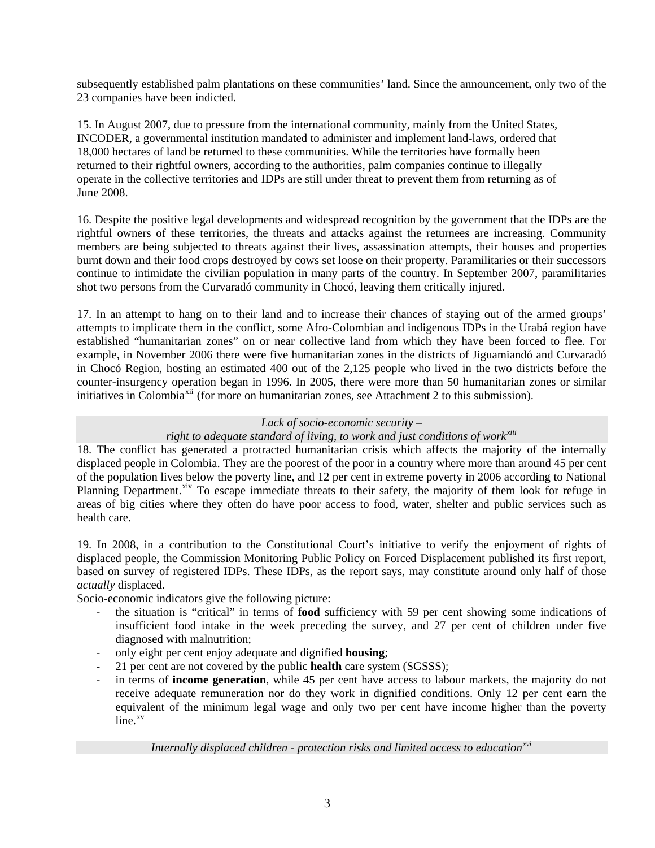subsequently established palm plantations on these communities' land. Since the announcement, only two of the 23 companies have been indicted.

15. In August 2007, due to pressure from the international community, mainly from the United States, INCODER, a governmental institution mandated to administer and implement land-laws, ordered that 18,000 hectares of land be returned to these communities. While the territories have formally been returned to their rightful owners, according to the authorities, palm companies continue to illegally operate in the collective territories and IDPs are still under threat to prevent them from returning as of June 2008.

16. Despite the positive legal developments and widespread recognition by the government that the IDPs are the rightful owners of these territories, the threats and attacks against the returnees are increasing. Community members are being subjected to threats against their lives, assassination attempts, their houses and properties burnt down and their food crops destroyed by cows set loose on their property. Paramilitaries or their successors continue to intimidate the civilian population in many parts of the country. In September 2007, paramilitaries shot two persons from the Curvaradó community in Chocó, leaving them critically injured.

17. In an attempt to hang on to their land and to increase their chances of staying out of the armed groups' attempts to implicate them in the conflict, some Afro-Colombian and indigenous IDPs in the Urabá region have established "humanitarian zones" on or near collective land from which they have been forced to flee. For example, in November 2006 there were five humanitarian zones in the districts of Jiguamiandó and Curvaradó in Chocó Region, hosting an estimated 400 out of the 2,125 people who lived in the two districts before the counter-insurgency operation began in 1996. In 2005, there were more than 50 humanitarian zones or similar initiatives in Colombia<sup>[xii](#page-6-1)</sup> (for more on humanitarian zones, see Attachment 2 to this submission).

### *Lack of socio-economic security –*

## *right to adequate standard of living, to work and just conditions of work[xiii](#page-6-1)*

18. The conflict has generated a protracted humanitarian crisis which affects the majority of the internally displaced people in Colombia. They are the poorest of the poor in a country where more than around 45 per cent of the population lives below the poverty line, and 12 per cent in extreme poverty in 2006 according to National Planning Department.<sup>[xiv](#page-6-1)</sup> To escape immediate threats to their safety, the majority of them look for refuge in areas of big cities where they often do have poor access to food, water, shelter and public services such as health care.

19. In 2008, in a contribution to the Constitutional Court's initiative to verify the enjoyment of rights of displaced people, the Commission Monitoring Public Policy on Forced Displacement published its first report, based on survey of registered IDPs. These IDPs, as the report says, may constitute around only half of those *actually* displaced.

Socio-economic indicators give the following picture:

- the situation is "critical" in terms of **food** sufficiency with 59 per cent showing some indications of insufficient food intake in the week preceding the survey, and 27 per cent of children under five diagnosed with malnutrition;
- only eight per cent enjoy adequate and dignified **housing**;
- 21 per cent are not covered by the public **health** care system (SGSSS);
- in terms of **income generation**, while 45 per cent have access to labour markets, the majority do not receive adequate remuneration nor do they work in dignified conditions. Only 12 per cent earn the equivalent of the minimum legal wage and only two per cent have income higher than the poverty  $line<sup>xv</sup>$  $line<sup>xv</sup>$  $line<sup>xv</sup>$ .

*Internally displaced children - protection risks and limited access to education[xvi](#page-6-1)*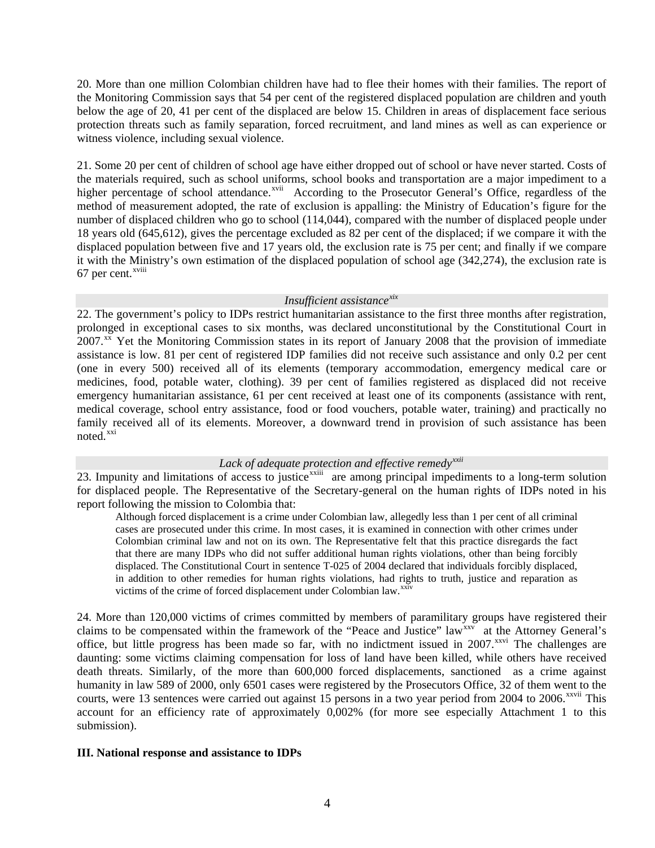20. More than one million Colombian children have had to flee their homes with their families. The report of the Monitoring Commission says that 54 per cent of the registered displaced population are children and youth below the age of 20, 41 per cent of the displaced are below 15. Children in areas of displacement face serious protection threats such as family separation, forced recruitment, and land mines as well as can experience or witness violence, including sexual violence.

21. Some 20 per cent of children of school age have either dropped out of school or have never started. Costs of the materials required, such as school uniforms, school books and transportation are a major impediment to a higher percentage of school attendance.<sup>[xvii](#page-6-1)</sup> According to the Prosecutor General's Office, regardless of the method of measurement adopted, the rate of exclusion is appalling: the Ministry of Education's figure for the number of displaced children who go to school (114,044), compared with the number of displaced people under 18 years old (645,612), gives the percentage excluded as 82 per cent of the displaced; if we compare it with the displaced population between five and 17 years old, the exclusion rate is 75 per cent; and finally if we compare it with the Ministry's own estimation of the displaced population of school age (342,274), the exclusion rate is 67 per cent.<sup>[xviii](#page-6-1)</sup>

#### *Insufficient assistance[xix](#page-6-1)*

22. The government's policy to IDPs restrict humanitarian assistance to the first three months after registration, prolonged in exceptional cases to six months, was declared unconstitutional by the Constitutional Court in 2007.<sup>[xx](#page-6-1)</sup> Yet the Monitoring Commission states in its report of January 2008 that the provision of immediate assistance is low. 81 per cent of registered IDP families did not receive such assistance and only 0.2 per cent (one in every 500) received all of its elements (temporary accommodation, emergency medical care or medicines, food, potable water, clothing). 39 per cent of families registered as displaced did not receive emergency humanitarian assistance, 61 per cent received at least one of its components (assistance with rent, medical coverage, school entry assistance, food or food vouchers, potable water, training) and practically no family received all of its elements. Moreover, a downward trend in provision of such assistance has been noted.<sup>[xxi](#page-6-1)</sup>

## *Lack of adequate protection and effective remedy[xxii](#page-6-1)*

23. Impunity and limitations of access to justice<sup>[xxiii](#page-6-1)</sup> are among principal impediments to a long-term solution for displaced people. The Representative of the Secretary-general on the human rights of IDPs noted in his report following the mission to Colombia that:

Although forced displacement is a crime under Colombian law, allegedly less than 1 per cent of all criminal cases are prosecuted under this crime. In most cases, it is examined in connection with other crimes under Colombian criminal law and not on its own. The Representative felt that this practice disregards the fact that there are many IDPs who did not suffer additional human rights violations, other than being forcibly displaced. The Constitutional Court in sentence T-025 of 2004 declared that individuals forcibly displaced, in addition to other remedies for human rights violations, had rights to truth, justice and reparation as victims of the crime of forced displacement under Colombian law.<sup>[xxiv](#page-6-1)</sup>

24. More than 120,000 victims of crimes committed by members of paramilitary groups have registered their claims to be compensated within the framework of the "Peace and Justice" law<sup>[xxv](#page-6-1)</sup> at the Attorney General's office, but little progress has been made so far, with no indictment issued in  $2007$ <sup>[xxvi](#page-6-1)</sup> The challenges are daunting: some victims claiming compensation for loss of land have been killed, while others have received death threats. Similarly, of the more than 600,000 forced displacements, sanctioned as a crime against humanity in law 589 of 2000, only 6501 cases were registered by the Prosecutors Office, 32 of them went to the courts, were 13 sentences were carried out against 15 persons in a two year period from 2004 to 2006.<sup>[xxvii](#page-6-1)</sup> This account for an efficiency rate of approximately 0,002% (for more see especially Attachment 1 to this submission).

#### **III. National response and assistance to IDPs**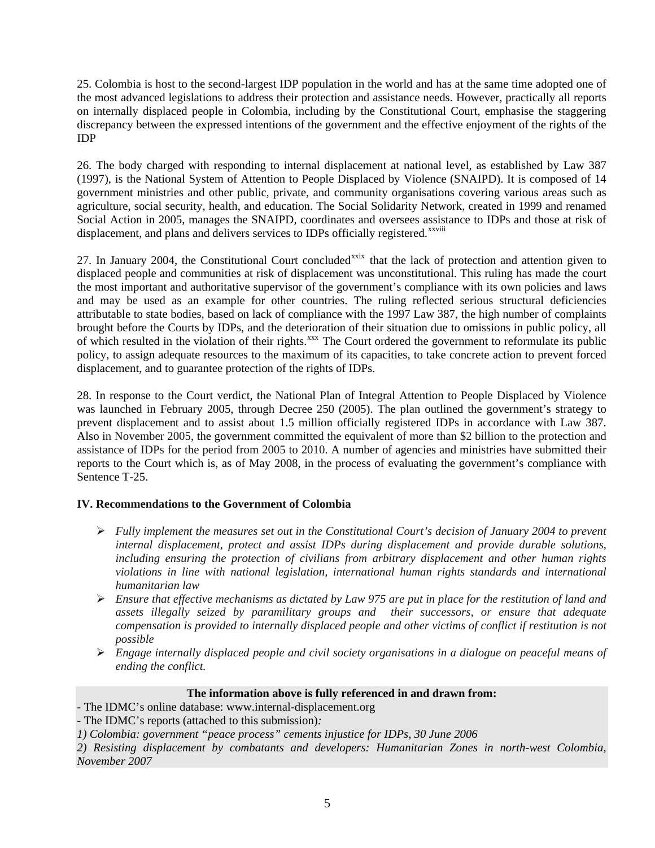25. Colombia is host to the second-largest IDP population in the world and has at the same time adopted one of the most advanced legislations to address their protection and assistance needs. However, practically all reports on internally displaced people in Colombia, including by the Constitutional Court, emphasise the staggering discrepancy between the expressed intentions of the government and the effective enjoyment of the rights of the IDP

26. The body charged with responding to internal displacement at national level, as established by Law 387 (1997), is the National System of Attention to People Displaced by Violence (SNAIPD). It is composed of 14 government ministries and other public, private, and community organisations covering various areas such as agriculture, social security, health, and education. The Social Solidarity Network, created in 1999 and renamed Social Action in 2005, manages the SNAIPD, coordinates and oversees assistance to IDPs and those at risk of displacement, and plans and delivers services to IDPs officially registered.<sup>[xxviii](#page-6-1)</sup>

27. In January 2004, the Constitutional Court concluded<sup>[xxix](#page-6-1)</sup> that the lack of protection and attention given to displaced people and communities at risk of displacement was unconstitutional. This ruling has made the court the most important and authoritative supervisor of the government's compliance with its own policies and laws and may be used as an example for other countries. The ruling reflected serious structural deficiencies attributable to state bodies, based on lack of compliance with the 1997 Law 387, the high number of complaints brought before the Courts by IDPs, and the deterioration of their situation due to omissions in public policy, all of which resulted in the violation of their rights.<sup>[xxx](#page-6-1)</sup> The Court ordered the government to reformulate its public policy, to assign adequate resources to the maximum of its capacities, to take concrete action to prevent forced displacement, and to guarantee protection of the rights of IDPs.

28. In response to the Court verdict, the National Plan of Integral Attention to People Displaced by Violence was launched in February 2005, through Decree 250 (2005). The plan outlined the government's strategy to prevent displacement and to assist about 1.5 million officially registered IDPs in accordance with Law 387. Also in November 2005, the government committed the equivalent of more than \$2 billion to the protection and assistance of IDPs for the period from 2005 to 2010. A number of agencies and ministries have submitted their reports to the Court which is, as of May 2008, in the process of evaluating the government's compliance with Sentence T-25.

## **IV. Recommendations to the Government of Colombia**

- ¾ *Fully implement the measures set out in the Constitutional Court's decision of January 2004 to prevent internal displacement, protect and assist IDPs during displacement and provide durable solutions, including ensuring the protection of civilians from arbitrary displacement and other human rights violations in line with national legislation, international human rights standards and international humanitarian law*
- ¾ *Ensure that effective mechanisms as dictated by Law 975 are put in place for the restitution of land and assets illegally seized by paramilitary groups and their successors, or ensure that adequate compensation is provided to internally displaced people and other victims of conflict if restitution is not possible*
- ¾ *Engage internally displaced people and civil society organisations in a dialogue on peaceful means of ending the conflict.*

## **The information above is fully referenced in and drawn from:**

- The IDMC's online database: www.internal-displacement.org
- The IDMC's reports (attached to this submission)*:*
- *1) Colombia: government "peace process" cements injustice for IDPs, 30 June 2006*

*2) Resisting displacement by combatants and developers: Humanitarian Zones in north-west Colombia, November 2007*